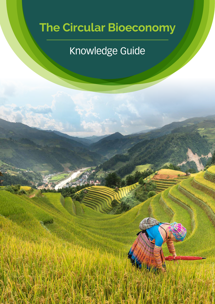# **The Circular Bioeconomy**

# Knowledge Guide

Photo by Quang Nguyen Vinh from Pexels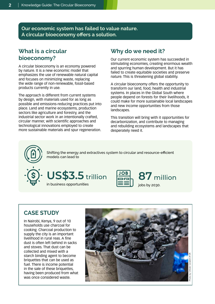**Our economic system has failed to value nature. A circular bioeconomy offers a solution.**

# **What is a circular bioeconomy?**

A circular bioeconomy is an economy powered by nature. It is a new economic model that emphasizes the use of renewable natural capital and focuses on minimizing waste, replacing the wide range of non-renewable, fossil-based products currently in use.

The approach is different from current systems by design, with materials used for as long as possible and emissions-reducing practices put into place. Land and marine ecosystems, production sectors like agriculture and forestry, and the industrial sector work in an intentionally crafted, circular manner, with scientific approaches and technological innovations employed to create more sustainable materials and spur regeneration.

# **Why do we need it?**

Our current economic system has succeeded in stimulating economies, creating enormous wealth and spurring human development. But it has failed to create equitable societies and preserve nature. This is threatening global stability.

A circular bioeconomy offers the opportunity to transform our land, food, health and industrial systems. In places in the Global South where people depend on forests for their livelihoods, it could make for more sustainable local landscapes and new income opportunities from those landscapes.

This transition will bring with it opportunities for decarbonization, and contribute to managing and rebuilding ecosystems and landscapes that desperately need it.



Shifting the energy and extractives system to circular and resource-efficient models can lead to





# **CASE STUDY**

In Nairobi, Kenya, 9 out of 10 households use charcoal for cooking. Charcoal production to supply the city is an important livelihood in rural reas. A fine dust is often left behind in sacks and stoves. That dust can be collected and mixed with a starch binding agent to become briquettes that can be used as fuel. There is income potential in the sale of these briquettes, having been produced from what was once considered waste.

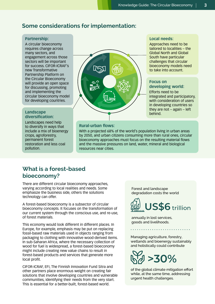**Local needs:** 

Approaches need to be tailored to localities – the Global North and Global South have particular challenges that circular bioeconomy models need to take into account.

**Focus on** 

**developing world:**  Efforts need to be

integrated and participatory, with consideration of users in developing countries so they are not – again – left

# **Some considerations for implementation:**

#### **Partnership:**

A circular bioeconomy requires change across many sectors, and engagement across those sectors will be important for success. CIFOR-ICRAF's new Transformative Partnership Platform on the Circular Bioeconomy will provide an open space for discussing, promoting and implementing the circular bioeconomy model for developing countries.

# **diversification:**

Landscapes need help to diversify in ways that include a mix of bioenergy crops, agroforestry, permanent forest restoration and less coal pollution.



#### **Rural-urban flows:**

With a projected 68% of the world's population living in urban areas by 2050, and urban citizens consuming more than rural ones, circular bioeconomy approaches must focus on the resulting material flows and the massive pressures on land, water, mineral and biological resources near cities.

# **What is a forest-based bioeconomy?**

There are different circular bioeconomy approaches, varying according to local realities and needs. Some emphasize the business side, others the solutions technology can offer.

A forest-based bioeconomy is a subsector of circular bioeconomy concepts. It focuses on the transformation of our current system through the conscious use, and re-use, of forest materials.

This economy would look different in different places. In Europe, for example, emphasis may be put on replacing fossil-based raw materials used in objects ranging from packaging to clothing with innovative wood-derived items. In sub-Saharan Africa, where the necessary collection of wood for fuel is widespread, a forest-based bioeconomy might include creating new value chains to result in forest-based products and services that generate more local profit.

CIFOR-ICRAF, EFI, The Finnish Innovation Fund Sitra and other partners place enormous weight on creating fair solutions that involve developing countries and vulnerable communities, identifying their needs from the very start. This is essential for a better-built, forest-based world.

Forest and landscape degradation costs the world



annually in lost services, goods and livelihoods.

Managing agriculture, forestry, wetlands and bioenergy sustainably and holistically could contribute



of the global climate mitigation effort while, at the same time, addressing urgent health challenges.